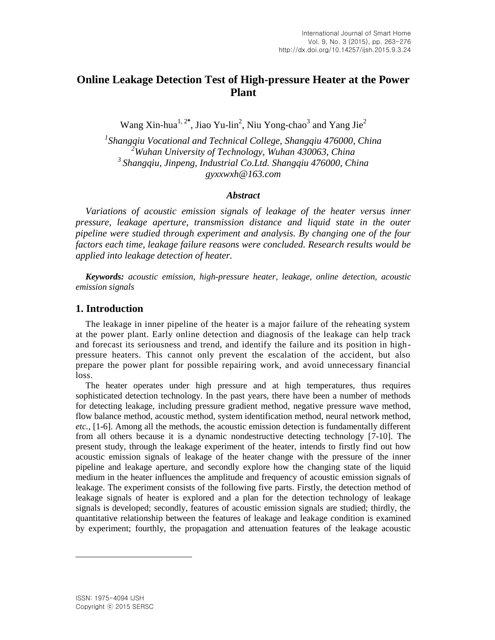# **Online Leakage Detection Test of High-pressure Heater at the Power Plant**

Wang Xin-hua<sup>1, 2\*</sup>, Jiao Yu-lin<sup>2</sup>, Niu Yong-chao<sup>3</sup> and Yang Jie<sup>2</sup>

 *Shangqiu Vocational and Technical College, Shangqiu 476000, China Wuhan University of Technology, Wuhan 430063, China Shangqiu, Jinpeng, Industrial Co.Ltd. Shangqiu 476000, China [gyxxwxh@163.com](mailto:gyxxwxh@163.com)*

#### *Abstract*

*Variations of acoustic emission signals of leakage of the heater versus inner pressure, leakage aperture, transmission distance and liquid state in the outer pipeline were studied through experiment and analysis. By changing one of the four factors each time, leakage failure reasons were concluded. Research results would be applied into leakage detection of heater.* 

*Keywords: acoustic emission, high-pressure heater, leakage, online detection, acoustic emission signals*

## **1. Introduction**

The leakage in inner pipeline of the heater is a major failure of the reheating system at the power plant. Early online detection and diagnosis of the leakage can help track and forecast its seriousness and trend, and identify the failure and its position in highpressure heaters. This cannot only prevent the escalation of the accident, but also prepare the power plant for possible repairing work, and avoid unnecessary financial loss.

The heater operates under high pressure and at high temperatures, thus requires sophisticated detection technology. In the past years, there have been a number of methods for detecting leakage, including pressure gradient method, negative pressure wave method, flow balance method, acoustic method, system identification method, neural network method, *etc.,* [1-6]. Among all the methods, the acoustic emission detection is fundamentally different from all others because it is a dynamic nondestructive detecting technology [7-10]. The present study, through the leakage experiment of the heater, intends to firstly find out how acoustic emission signals of leakage of the heater change with the pressure of the inner pipeline and leakage aperture, and secondly explore how the changing state of the liquid medium in the heater influences the amplitude and frequency of acoustic emission signals of leakage. The experiment consists of the following five parts. Firstly, the detection method of leakage signals of heater is explored and a plan for the detection technology of leakage signals is developed; secondly, features of acoustic emission signals are studied; thirdly, the quantitative relationship between the features of leakage and leakage condition is examined by experiment; fourthly, the propagation and attenuation features of the leakage acoustic

l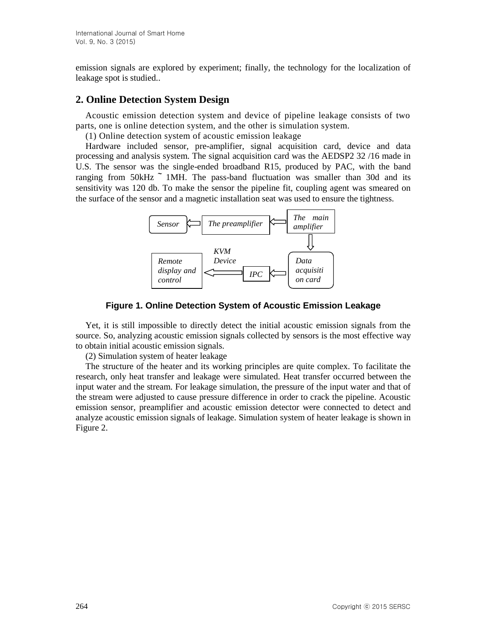emission signals are explored by experiment; finally, the technology for the localization of leakage spot is studied..

## **2. Online Detection System Design**

Acoustic emission detection system and device of pipeline leakage consists of two parts, one is online detection system, and the other is simulation system.

(1) Online detection system of acoustic emission leakage

Hardware included sensor, pre-amplifier, signal acquisition card, device and data processing and analysis system. The signal acquisition card was the AEDSP2 32 /16 made in U.S. The sensor was the single-ended broadband R15, produced by PAC, with the band ranging from  $50kHz$   $\sim$  1MH. The pass-band fluctuation was smaller than 30d and its sensitivity was 120 db. To make the sensor the pipeline fit, coupling agent was smeared on the surface of the sensor and a magnetic installation seat was used to ensure the tightness.



Figure 1. Online Detection System of Acoustic Emission Leakage

Yet, it is still impossible to directly detect the initial acoustic emission signals from the source. So, analyzing acoustic emission signals collected by sensors is the most effective way<br>the aktive initial converts emission signals to obtain initial acoustic emission signals.

(2) Simulation system of heater leakage

The structure of the heater and its working principles are quite complex. To facilitate the research, only heat transfer and leakage were simulated. Heat transfer occurred between the input water and the stream. For leakage simulation, the pressure of the input water and that of the stream were adjusted to cause pressure difference in order to crack the pipeline. Acoustic emission sensor, preamplifier and acoustic emission detector were connected to detect and analyze acoustic emission signals of leakage. Simulation system of heater leakage is shown in Figure 2.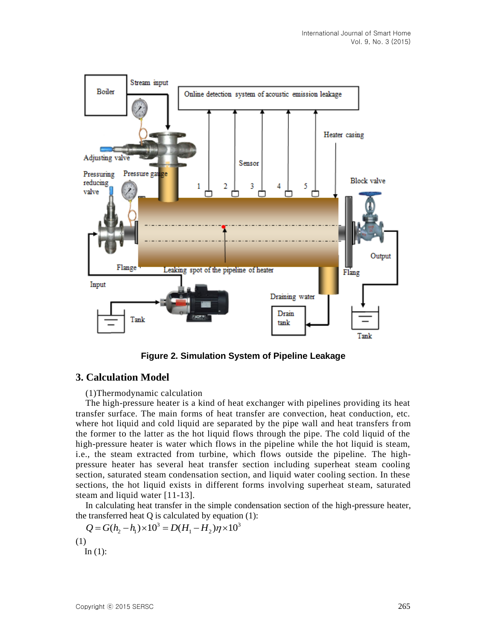

**Figure 2. Simulation System of Pipeline Leakage**

## **3. Calculation Model**

(1)Thermodynamic calculation

The high-pressure heater is a kind of heat exchanger with pipelines providing its heat transfer surface. The main forms of heat transfer are convection, heat conduction, etc. where hot liquid and cold liquid are separated by the pipe wall and heat transfers from the former to the latter as the hot liquid flows through the pipe. The cold liquid of the high-pressure heater is water which flows in the pipeline while the hot liquid is steam, i.e., the steam extracted from turbine, which flows outside the pipeline. The highpressure heater has several heat transfer section including superheat steam cooling section, saturated steam condensation section, and liquid water cooling section. In these sections, the hot liquid exists in different forms involving superheat steam, saturated steam and liquid water [11-13].

In calculating heat transfer in the simple condensation section of the high-pressure heater, the transferred heat  $Q$  is calculated by equation  $(1)$ :

$$
Q = G(h_2 - h_1) \times 10^3 = D(H_1 - H_2)\eta \times 10^3
$$
  
(1)  
In (1):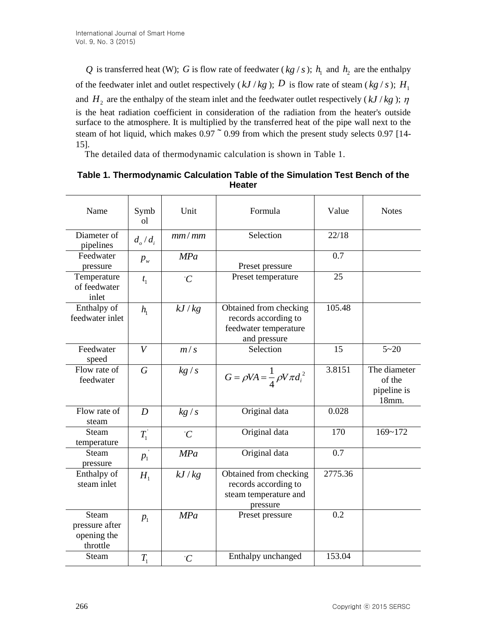| Table 1. Thermodynamic Calculation Table of the Simulation Test Bench of the<br><b>Heater</b> |  |  |  |  |  |  |
|-----------------------------------------------------------------------------------------------|--|--|--|--|--|--|
|                                                                                               |  |  |  |  |  |  |

|                                                                                                                                                                      |                                                     |               | Q is transferred heat (W); G is flow rate of feedwater (kg / s); $h_1$ and $h_2$ are the enthalpy                                                                                                                                                                                                        |         |                                                |  |
|----------------------------------------------------------------------------------------------------------------------------------------------------------------------|-----------------------------------------------------|---------------|----------------------------------------------------------------------------------------------------------------------------------------------------------------------------------------------------------------------------------------------------------------------------------------------------------|---------|------------------------------------------------|--|
| of the feedwater inlet and outlet respectively ( <i>kJ/kg</i> ); D is flow rate of steam ( <i>kg/s</i> ); H <sub>1</sub>                                             |                                                     |               |                                                                                                                                                                                                                                                                                                          |         |                                                |  |
|                                                                                                                                                                      |                                                     |               | and $H_2$ are the enthalpy of the steam inlet and the feedwater outlet respectively (kJ/kg); $\eta$                                                                                                                                                                                                      |         |                                                |  |
| 15].                                                                                                                                                                 |                                                     |               | is the heat radiation coefficient in consideration of the radiation from the heater's outside<br>surface to the atmosphere. It is multiplied by the transferred heat of the pipe wall next to the<br>steam of hot liquid, which makes $0.97 \degree 0.99$ from which the present study selects 0.97 [14- |         |                                                |  |
| The detailed data of thermodynamic calculation is shown in Table 1.<br>Table 1. Thermodynamic Calculation Table of the Simulation Test Bench of the<br><b>Heater</b> |                                                     |               |                                                                                                                                                                                                                                                                                                          |         |                                                |  |
| Name                                                                                                                                                                 | Symb<br><sub>o</sub> l                              | Unit          | Formula                                                                                                                                                                                                                                                                                                  | Value   | <b>Notes</b>                                   |  |
| Diameter of<br>pipelines                                                                                                                                             | $d_{\scriptscriptstyle o}/d_{\scriptscriptstyle i}$ | mm/mm         | Selection                                                                                                                                                                                                                                                                                                | 22/18   |                                                |  |
| Feedwater<br>pressure                                                                                                                                                | $p_{w}$                                             | <b>MPa</b>    | Preset pressure                                                                                                                                                                                                                                                                                          | 0.7     |                                                |  |
| Temperature<br>of feedwater<br>inlet                                                                                                                                 | $t_{1}$                                             | $\mathcal{C}$ | Preset temperature                                                                                                                                                                                                                                                                                       | 25      |                                                |  |
| Enthalpy of<br>feedwater inlet                                                                                                                                       | $h_{\scriptscriptstyle 1}$                          | kJ/kg         | Obtained from checking<br>records according to<br>feedwater temperature<br>and pressure                                                                                                                                                                                                                  | 105.48  |                                                |  |
| Feedwater<br>speed                                                                                                                                                   | V                                                   | m/s           | Selection                                                                                                                                                                                                                                                                                                | 15      | $5 - 20$                                       |  |
| Flow rate of<br>feedwater                                                                                                                                            | $\,G\,$                                             | kg/s          | $G = \rho V A = \frac{1}{4} \rho V \pi d_i^2$                                                                                                                                                                                                                                                            | 3.8151  | The diameter<br>of the<br>pipeline is<br>18mm. |  |
| Flow rate of<br>steam                                                                                                                                                | D                                                   | kg/s          | Original data                                                                                                                                                                                                                                                                                            | 0.028   |                                                |  |
| Steam<br>temperature                                                                                                                                                 | $T_1^{'}$                                           | $\hat{C}$     | Original data                                                                                                                                                                                                                                                                                            | 170     | $169 - 172$                                    |  |
| Steam<br>pressure                                                                                                                                                    | $p_{1}$                                             | <b>MPa</b>    | Original data                                                                                                                                                                                                                                                                                            | 0.7     |                                                |  |
| Enthalpy of<br>steam inlet                                                                                                                                           | $H_{\scriptscriptstyle 1}$                          | kJ/kg         | Obtained from checking<br>records according to<br>steam temperature and<br>pressure                                                                                                                                                                                                                      | 2775.36 |                                                |  |
| Steam<br>pressure after<br>opening the<br>throttle                                                                                                                   | $p_{1}$                                             | <b>MPa</b>    | Preset pressure                                                                                                                                                                                                                                                                                          | 0.2     |                                                |  |
| Steam                                                                                                                                                                | $T_{1}$                                             | $\mathcal{C}$ | Enthalpy unchanged                                                                                                                                                                                                                                                                                       | 153.04  |                                                |  |
| 266                                                                                                                                                                  |                                                     |               |                                                                                                                                                                                                                                                                                                          |         | Copyright © 2015 SERSC                         |  |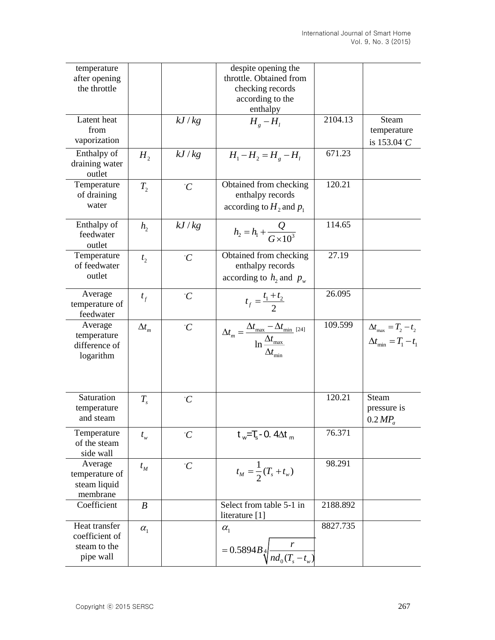| temperature<br>after opening<br>the throttle                 |                  |               | despite opening the<br>throttle. Obtained from<br>checking records<br>according to the<br>enthalpy              |          |                                                                      |
|--------------------------------------------------------------|------------------|---------------|-----------------------------------------------------------------------------------------------------------------|----------|----------------------------------------------------------------------|
| Latent heat<br>from<br>vaporization                          |                  | kJ/kg         | $H_{g} - H_{l}$                                                                                                 | 2104.13  | Steam<br>temperature<br>is $153.04^{\circ}C$                         |
| Enthalpy of<br>draining water<br>outlet                      | H <sub>2</sub>   | kJ/kg         | $H_1 - H_2 = H_{\rm g} - H_{\rm l}$                                                                             | 671.23   |                                                                      |
| Temperature<br>of draining<br>water                          | $T_{2}$          | $\hat{C}$     | Obtained from checking<br>enthalpy records<br>according to $H_2$ and $p_1$                                      | 120.21   |                                                                      |
| Enthalpy of<br>feedwater<br>outlet                           | h <sub>2</sub>   | kJ/kg         | $h_2 = h_1 + \frac{Q}{G \times 10^3}$                                                                           | 114.65   |                                                                      |
| Temperature<br>of feedwater<br>outlet                        | t <sub>2</sub>   | $\mathcal{C}$ | Obtained from checking<br>enthalpy records<br>according to $h_2$ and $p_w$                                      | 27.19    |                                                                      |
| Average<br>temperature of<br>feedwater                       | $t_f$            | $\hat{C}$     | $t_f = \frac{t_1 + t_2}{2}$                                                                                     | 26.095   |                                                                      |
| Average<br>temperature<br>difference of<br>logarithm         | $\Delta t_m$     | $\mathcal{C}$ | $\Delta t_m = \frac{\Delta t_{\text{max}} - \Delta t_{\text{min}}}{\ln \frac{\Delta t_{\text{max}}}{\Delta t}}$ | 109.599  | $\Delta t_{\text{max}} = T_2 - t_2$<br>$\Delta t_{\min} = T_1 - t_1$ |
| Saturation<br>temperature<br>and steam                       | $T_{\rm s}$      | $\mathcal{C}$ |                                                                                                                 | 120.21   | <b>Steam</b><br>pressure is<br>0.2 MP <sub>a</sub>                   |
| Temperature<br>of the steam<br>side wall                     | $t_{w}$          | $\hat{C}$     | $t_{w} = T_s - 0.4 \Delta t_{m}$                                                                                | 76.371   |                                                                      |
| Average<br>temperature of<br>steam liquid<br>membrane        | $t_M$            | $\hat{C}$     | $t_M = \frac{1}{2}(T_s + t_w)$                                                                                  | 98.291   |                                                                      |
| Coefficient                                                  | $\boldsymbol{B}$ |               | Select from table 5-1 in<br>literature [1]                                                                      | 2188.892 |                                                                      |
| Heat transfer<br>coefficient of<br>steam to the<br>pipe wall | $\alpha_{1}$     |               | $\alpha_{1}$<br>$= 0.5894 B_4 \sqrt{\frac{t}{n d_0(T_s - t_w)}}$                                                | 8827.735 |                                                                      |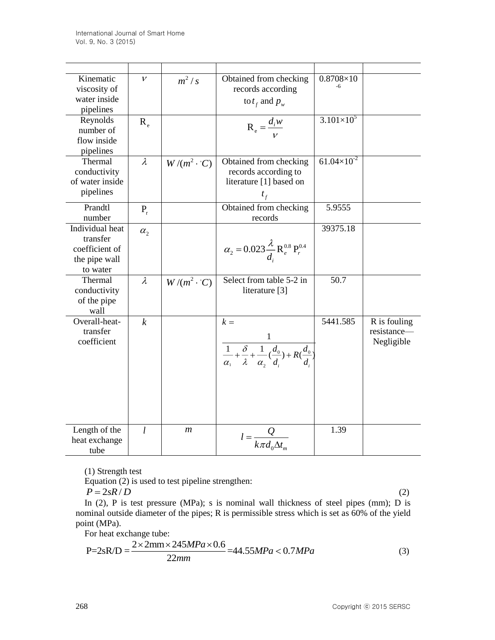| Kinematic<br>viscosity of<br>water inside<br>pipelines                     | $\mathcal{V}$    | $m^2/s$                     | Obtained from checking<br>records according<br>to $t_f$ and $p_w$                                                                         | $0.8708\times10$     |                                           |
|----------------------------------------------------------------------------|------------------|-----------------------------|-------------------------------------------------------------------------------------------------------------------------------------------|----------------------|-------------------------------------------|
| Reynolds<br>number of<br>flow inside<br>pipelines                          | $R_{\rho}$       |                             | $R_e = \frac{d_i w}{v}$                                                                                                                   | $3.101 \times 10^5$  |                                           |
| Thermal<br>conductivity<br>of water inside<br>pipelines                    | $\lambda$        | $W/(m^2 \cdot {^{\circ}C})$ | Obtained from checking<br>records according to<br>literature [1] based on<br>$t_{f}$                                                      | $61.04\times10^{-2}$ |                                           |
| Prandtl<br>number                                                          | $P_{r}$          |                             | Obtained from checking<br>records                                                                                                         | 5.9555               |                                           |
| Individual heat<br>transfer<br>coefficient of<br>the pipe wall<br>to water | $\alpha_{2}$     |                             | $\alpha_2 = 0.023 \frac{\lambda}{d} R_e^{0.8} P_r^{0.4}$                                                                                  | 39375.18             |                                           |
| Thermal<br>conductivity<br>of the pipe<br>wall                             | $\lambda$        | $W/(m^2 \cdot C)$           | Select from table 5-2 in<br>literature [3]                                                                                                | 50.7                 |                                           |
| Overall-heat-<br>transfer<br>coefficient                                   | $\boldsymbol{k}$ |                             | $k =$<br>$\frac{1}{\alpha_1} + \frac{\delta}{\lambda} + \frac{1}{\alpha_2} \left( \frac{d_0}{d} \right) + R \left( \frac{d_0}{d} \right)$ | 5441.585             | R is fouling<br>resistance-<br>Negligible |
| Length of the<br>heat exchange<br>tube                                     | l                | $\mathfrak{m}$              | $l = \frac{Q}{k \pi d_0 \Delta t_m}$                                                                                                      | 1.39                 |                                           |

(1) Strength test

Equation (2) is used to test pipeline strengthen:

$$
P = 2sR/D
$$
 (2)

In (2), P is test pressure (MPa); s is nominal wall thickness of steel pipes (mm); D is nominal outside diameter of the pipes; R is permissible stress which is set as 60% of the yield point (MPa).

For heat exchange tube:

$$
P=2sR/D = \frac{2 \times 2mm \times 245MPa \times 0.6}{22mm} = 44.55MPa < 0.7MPa
$$
 (3)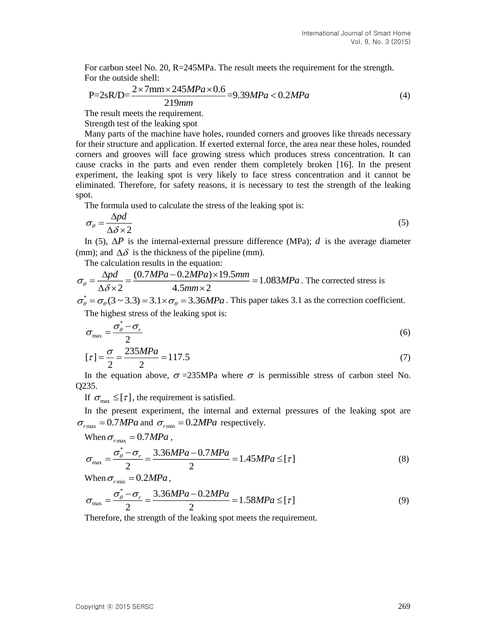For carbon steel No. 20, R=245MPa. The result meets the requirement for the strength. For the outside shell:

$$
P=2sR/D=\frac{2\times7mm\times245MPa\times0.6}{219mm}=9.39MPa<0.2MPa
$$
\n(4)

The result meets the requirement.

Strength test of the leaking spot

Many parts of the machine have holes, rounded corners and grooves like threads necessary for their structure and application. If exerted external force, the area near these holes, rounded corners and grooves will face growing stress which produces stress concentration. It can cause cracks in the parts and even render them completely broken [16]. In the present experiment, the leaking spot is very likely to face stress concentration and it cannot be eliminated. Therefore, for safety reasons, it is necessary to test the strength of the leaking spot.

The formula used to calculate the stress of the leaking spot is:

$$
\sigma_{\theta} = \frac{\Delta pd}{\Delta \delta \times 2} \tag{5}
$$

In (5),  $\Delta P$  is the internal-external pressure difference (MPa); *d* is the average diameter (mm); and  $\Delta\delta$  is the thickness of the pipeline (mm).

The calculation results in the equation:

$$
\sigma_{\theta} = \frac{\Delta pd}{\Delta \delta \times 2} = \frac{(0.7MPa - 0.2MPa) \times 19.5mm}{4.5mm \times 2} = 1.083MPa
$$
. The corrected stress is

 $\sigma_{\theta}^* = \sigma_{\theta} (3 \sim 3.3) = 3.1 \times \sigma_{\theta} = 3.36 MPa$ . This paper takes 3.1 as the correction coefficient. The highest stress of the leaking spot is:

$$
\sigma_{\text{max}} = \frac{\sigma_{\theta}^* - \sigma_r}{2} \tag{6}
$$

$$
[\tau] = \frac{\sigma}{2} = \frac{235MPa}{2} = 117.5\tag{7}
$$

In the equation above,  $\sigma = 235MPa$  where  $\sigma$  is permissible stress of carbon steel No. Q235.

If  $\sigma_{\text{max}} \leq [\tau]$ , the requirement is satisfied.

In the present experiment, the internal and external pressures of the leaking spot are  $\sigma_{r\text{max}} = 0.7 MPa$  and  $\sigma_{r\text{min}} = 0.2 MPa$  respectively.

When 
$$
\sigma_{\text{max}} = 0.7 MPa
$$
,

$$
\sigma_{\text{max}} = \frac{\sigma_{\theta}^{*} - \sigma_{r}}{2} = \frac{3.36MPa - 0.7MPa}{2} = 1.45MPa \leq [\tau]
$$
\n(8)

When 
$$
\sigma_{\text{rmin}} = 0.2 MPa
$$
,

$$
\sigma_{\text{max}} = \frac{\sigma_{\theta}^{*} - \sigma_{r}}{2} = \frac{3.36MPa - 0.2MPa}{2} = 1.58MPa \leq [\tau]
$$
\n(9)

Therefore, the strength of the leaking spot meets the requirement.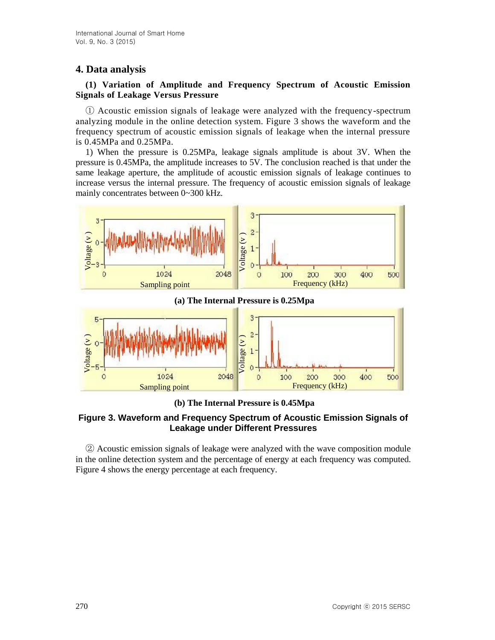# **4. Data analysis**

### **(1) Variation of Amplitude and Frequency Spectrum of Acoustic Emission Signals of Leakage Versus Pressure**

① Acoustic emission signals of leakage were analyzed with the frequency-spectrum analyzing module in the online detection system. Figure 3 shows the waveform and the frequency spectrum of acoustic emission signals of leakage when the internal pressure is 0.45MPa and 0.25MPa.

1) When the pressure is 0.25MPa, leakage signals amplitude is about 3V. When the pressure is 0.45MPa, the amplitude increases to 5V. The conclusion reached is that under the same leakage aperture, the amplitude of acoustic emission signals of leakage continues to increase versus the internal pressure. The frequency of acoustic emission signals of leakage mainly concentrates between 0~300 kHz.



**(a) The Internal Pressure is 0.25Mpa**



**(b) The Internal Pressure is 0.45Mpa**

## **Figure 3. Waveform and Frequency Spectrum of Acoustic Emission Signals of Leakage under Different Pressures**

② Acoustic emission signals of leakage were analyzed with the wave composition module in the online detection system and the percentage of energy at each frequency was computed. Figure 4 shows the energy percentage at each frequency.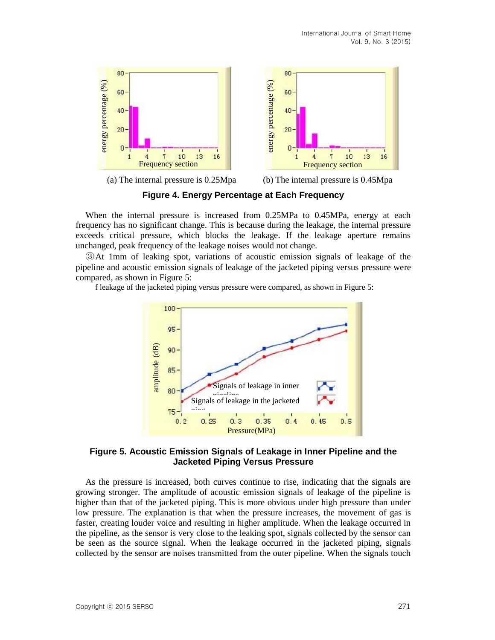16





(a) The internal pressure is 0.25Mpa (b) The internal pressure is 0.45Mpa

**Figure 4. Energy Percentage at Each Frequency**

When the internal pressure is increased from 0.25MPa to 0.45MPa, energy at each frequency has no significant change. This is because during the leakage, the internal pressure exceeds critical pressure, which blocks the leakage. If the leakage aperture remains unchanged, peak frequency of the leakage noises would not change.

③At 1mm of leaking spot, variations of acoustic emission signals of leakage of the pipeline and acoustic emission signals of leakage of the jacketed piping versus pressure were compared, as shown in Figure 5:

f leakage of the jacketed piping versus pressure were compared, as shown in Figure 5:



#### **Figure 5. Acoustic Emission Signals of Leakage in Inner Pipeline and the Jacketed Piping Versus Pressure**

As the pressure is increased, both curves continue to rise, indicating that the signals are growing stronger. The amplitude of acoustic emission signals of leakage of the pipeline is higher than that of the jacketed piping. This is more obvious under high pressure than under low pressure. The explanation is that when the pressure increases, the movement of gas is faster, creating louder voice and resulting in higher amplitude. When the leakage occurred in the pipeline, as the sensor is very close to the leaking spot, signals collected by the sensor can be seen as the source signal. When the leakage occurred in the jacketed piping, signals collected by the sensor are noises transmitted from the outer pipeline. When the signals touch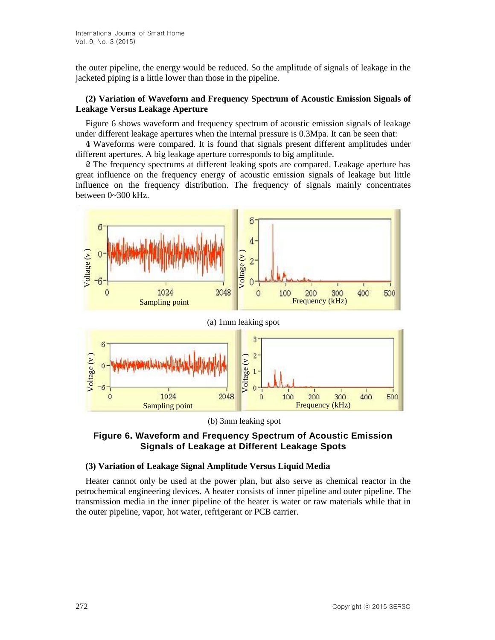the outer pipeline, the energy would be reduced. So the amplitude of signals of leakage in the jacketed piping is a little lower than those in the pipeline.

### **(2) Variation of Waveform and Frequency Spectrum of Acoustic Emission Signals of Leakage Versus Leakage Aperture**

Figure 6 shows waveform and frequency spectrum of acoustic emission signals of leakage under different leakage apertures when the internal pressure is 0.3Mpa. It can be seen that:

 $\Phi$  Waveforms were compared. It is found that signals present different amplitudes under different apertures. A big leakage aperture corresponds to big amplitude.

○2 The frequency spectrums at different leaking spots are compared. Leakage aperture has great influence on the frequency energy of acoustic emission signals of leakage but little influence on the frequency distribution. The frequency of signals mainly concentrates between 0~300 kHz.



(b) 3mm leaking spot

#### **Figure 6. Waveform and Frequency Spectrum of Acoustic Emission Signals of Leakage at Different Leakage Spots**

#### **(3) Variation of Leakage Signal Amplitude Versus Liquid Media**

Heater cannot only be used at the power plan, but also serve as chemical reactor in the petrochemical engineering devices. A heater consists of inner pipeline and outer pipeline. The transmission media in the inner pipeline of the heater is water or raw materials while that in the outer pipeline, vapor, hot water, refrigerant or PCB carrier.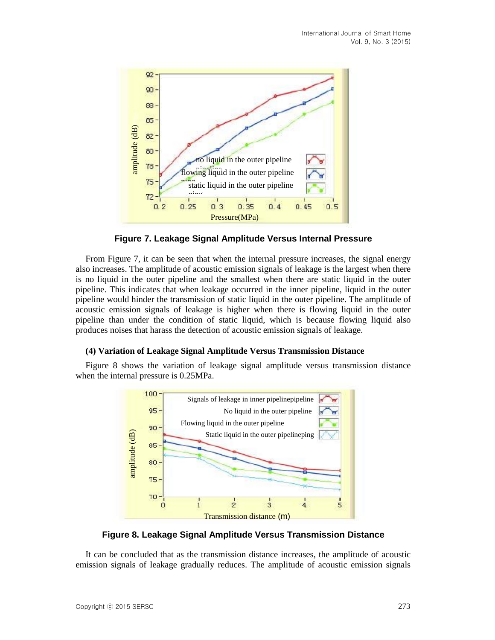

**Figure 7. Leakage Signal Amplitude Versus Internal Pressure**

From Figure 7, it can be seen that when the internal pressure increases, the signal energy also increases. The amplitude of acoustic emission signals of leakage is the largest when there is no liquid in the outer pipeline and the smallest when there are static liquid in the outer pipeline. This indicates that when leakage occurred in the inner pipeline, liquid in the outer pipeline would hinder the transmission of static liquid in the outer pipeline. The amplitude of acoustic emission signals of leakage is higher when there is flowing liquid in the outer pipeline than under the condition of static liquid, which is because flowing liquid also produces noises that harass the detection of acoustic emission signals of leakage.

#### **(4) Variation of Leakage Signal Amplitude Versus Transmission Distance**

Figure 8 shows the variation of leakage signal amplitude versus transmission distance when the internal pressure is 0.25MPa.



**Figure 8. Leakage Signal Amplitude Versus Transmission Distance**

It can be concluded that as the transmission distance increases, the amplitude of acoustic emission signals of leakage gradually reduces. The amplitude of acoustic emission signals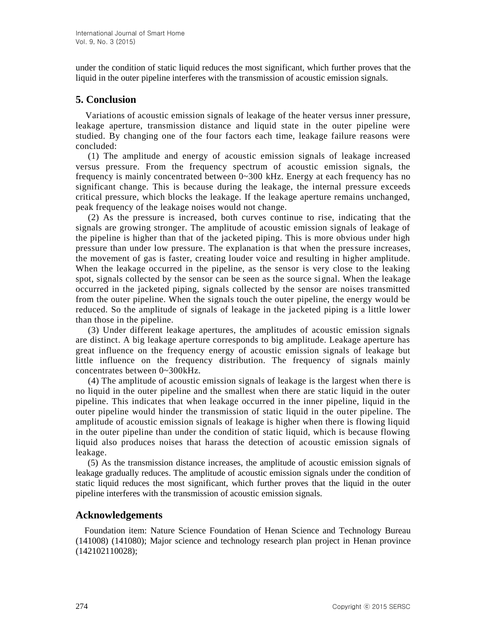under the condition of static liquid reduces the most significant, which further proves that the liquid in the outer pipeline interferes with the transmission of acoustic emission signals.

## **5. Conclusion**

Variations of acoustic emission signals of leakage of the heater versus inner pressure, leakage aperture, transmission distance and liquid state in the outer pipeline were studied. By changing one of the four factors each time, leakage failure reasons were concluded:

(1) The amplitude and energy of acoustic emission signals of leakage increased versus pressure. From the frequency spectrum of acoustic emission signals, the frequency is mainly concentrated between 0~300 kHz. Energy at each frequency has no significant change. This is because during the leakage, the internal pressure exceeds critical pressure, which blocks the leakage. If the leakage aperture remains unchanged, peak frequency of the leakage noises would not change.

(2) As the pressure is increased, both curves continue to rise, indicating that the signals are growing stronger. The amplitude of acoustic emission signals of leakage of the pipeline is higher than that of the jacketed piping. This is more obvious under high pressure than under low pressure. The explanation is that when the pressure increases, the movement of gas is faster, creating louder voice and resulting in higher amplitude. When the leakage occurred in the pipeline, as the sensor is very close to the leaking spot, signals collected by the sensor can be seen as the source signal. When the leakage occurred in the jacketed piping, signals collected by the sensor are noises transmitted from the outer pipeline. When the signals touch the outer pipeline, the energy would be reduced. So the amplitude of signals of leakage in the jacketed piping is a little lower than those in the pipeline.

(3) Under different leakage apertures, the amplitudes of acoustic emission signals are distinct. A big leakage aperture corresponds to big amplitude. Leakage aperture has great influence on the frequency energy of acoustic emission signals of leakage but little influence on the frequency distribution. The frequency of signals mainly concentrates between 0~300kHz.

(4) The amplitude of acoustic emission signals of leakage is the largest when ther e is no liquid in the outer pipeline and the smallest when there are static liquid in the outer pipeline. This indicates that when leakage occurred in the inner pipeline, liquid in the outer pipeline would hinder the transmission of static liquid in the outer pipeline. The amplitude of acoustic emission signals of leakage is higher when there is flowing liquid in the outer pipeline than under the condition of static liquid, which is because flowing liquid also produces noises that harass the detection of acoustic emission signals of leakage.

(5) As the transmission distance increases, the amplitude of acoustic emission signals of leakage gradually reduces. The amplitude of acoustic emission signals under the condition of static liquid reduces the most significant, which further proves that the liquid in the outer pipeline interferes with the transmission of acoustic emission signals.

## **Acknowledgements**

Foundation item: Nature Science Foundation of Henan Science and Technology Bureau (141008) (141080); Major science and technology research plan project in Henan province (142102110028);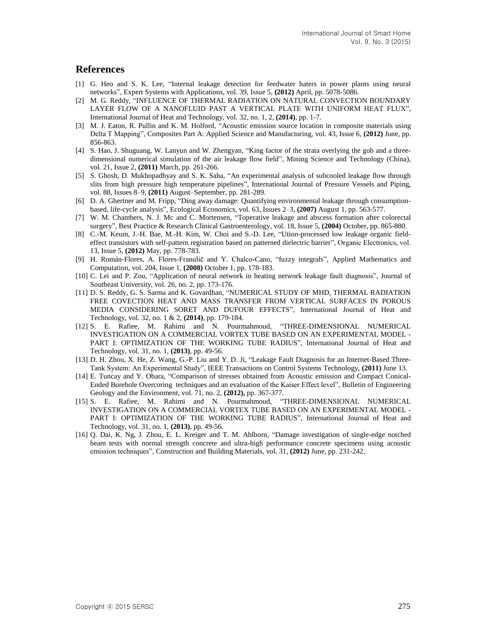## **References**

- [1] G. Heo and S. K. Lee, "Internal leakage detection for feedwater haters in power plants using neural networks", Expert Systems with Applications, vol. 39, Issue 5, **(2012)** April, pp. 5078-5086.
- [2] M. G. Reddy, "INFLUENCE OF THERMAL RADIATION ON NATURAL CONVECTION BOUNDARY LAYER FLOW OF A NANOFLUID PAST A VERTICAL PLATE WITH UNIFORM HEAT FLUX", International Journal of Heat and Technology, vol. 32, no. 1, 2, **(2014)**, pp. 1-7.
- [3] M. J. Eaton, R. Pullin and K. M. Holford, "Acoustic emission source location in composite materials using Delta T Mapping", Composites Part A: Applied Science and Manufacturing, vol. 43, Issue 6, **(2012)** June, pp. 856-863.
- [4] S. Hao, J. Shuguang, W. Lanyun and W. Zhengyan, "King factor of the strata overlying the gob and a threedimensional numerical simulation of the air leakage flow field", Mining Science and Technology (China), vol. 21, Issue 2, **(2011)** March, pp. 261-266.
- [5] S. Ghosh, D. Mukhopadhyay and S. K. Saha, "An experimental analysis of subcooled leakage flow through slits from high pressure high temperature pipelines", International Journal of Pressure Vessels and Piping, vol. 88, Issues 8–9, **(2011)** August–September, pp. 281-289.
- [6] D. A. Ghertner and M. Fripp, "Ding away damage: Quantifying environmental leakage through consumptionbased, life-cycle analysis", Ecological Economics, vol. 63, Issues 2–3, **(2007)** August 1, pp. 563-577.
- [7] W. M. Chambers, N. J. Mc and C. Mortensen, "Toperative leakage and abscess formation after colorectal surgery", Best Practice & Research Clinical Gastroenterology, vol. 18, Issue 5, **(2004)** October, pp. 865-880.
- [8] C.-M. Keum, J.-H. Bae, M.-H. Kim, W. Choi and S.-D. Lee, "Ution-processed low leakage organic fieldeffect transistors with self-pattern registration based on patterned dielectric barrier", Organic Electronics, vol. 13, Issue 5, **(2012)** May, pp. 778-783.
- [9] H. Román-Flores, A. Flores-Franulič and Y. Chalco-Cano, "fuzzy integrals", Applied Mathematics and Computation, vol. 204, Issue 1, **(2008)** October 1, pp. 178-183.
- [10] C. Lei and P. Zou, "Application of neural network in heating network leakage fault diagnosis", Journal of Southeast University, vol. 26, no. 2, pp. 173-176.
- [11] D. S. Reddy, G. S. Sarma and K. Govardhan, "NUMERICAL STUDY OF MHD, THERMAL RADIATION FREE COVECTION HEAT AND MASS TRANSFER FROM VERTICAL SURFACES IN POROUS MEDIA CONSIDERING SORET AND DUFOUR EFFECTS", International Journal of Heat and Technology, vol. 32, no. 1 & 2, **(2014)**, pp. 179-184.
- [12] S. E. Rafiee, M. Rahimi and N. Pourmahmoud, "THREE-DIMENSIONAL NUMERICAL INVESTIGATION ON A COMMERCIAL VORTEX TUBE BASED ON AN EXPERIMENTAL MODEL - PART I: OPTIMIZATION OF THE WORKING TUBE RADIUS", International Journal of Heat and Technology, vol. 31, no. 1, **(2013)**, pp. 49-56.
- [13] D. H. Zhou, X. He, Z. Wang, G.-P. Liu and Y. D. Ji, "Leakage Fault Diagnosis for an Internet-Based Three-Tank System: An Experimental Study", IEEE Transactions on Control Systems Technology, **(2011)** June 13.
- [14] E. Tuncay and Y. Obara, "Comparison of stresses obtained from Acoustic emission and Compact Conical-Ended Borehole Overcoring techniques and an evaluation of the Kaiser Effect level", Bulletin of Engineering Geology and the Environment, vol. 71, no. 2, **(2012),** pp. 367-377.
- [15] S. E. Rafiee, M. Rahimi and N. Pourmahmoud, "THREE-DIMENSIONAL NUMERICAL INVESTIGATION ON A COMMERCIAL VORTEX TUBE BASED ON AN EXPERIMENTAL MODEL - PART I: OPTIMIZATION OF THE WORKING TUBE RADIUS", International Journal of Heat and Technology, vol. 31, no. 1, **(2013)**, pp. 49-56.
- [16] Q. Dai, K. Ng, J. Zhou, E. L. Kreiger and T. M. Ahlborn, "Damage investigation of single-edge notched beam tests with normal strength concrete and ultra-high performance concrete specimens using acoustic emission techniques", Construction and Building Materials, vol. 31, **(2012)** June, pp. 231-242.